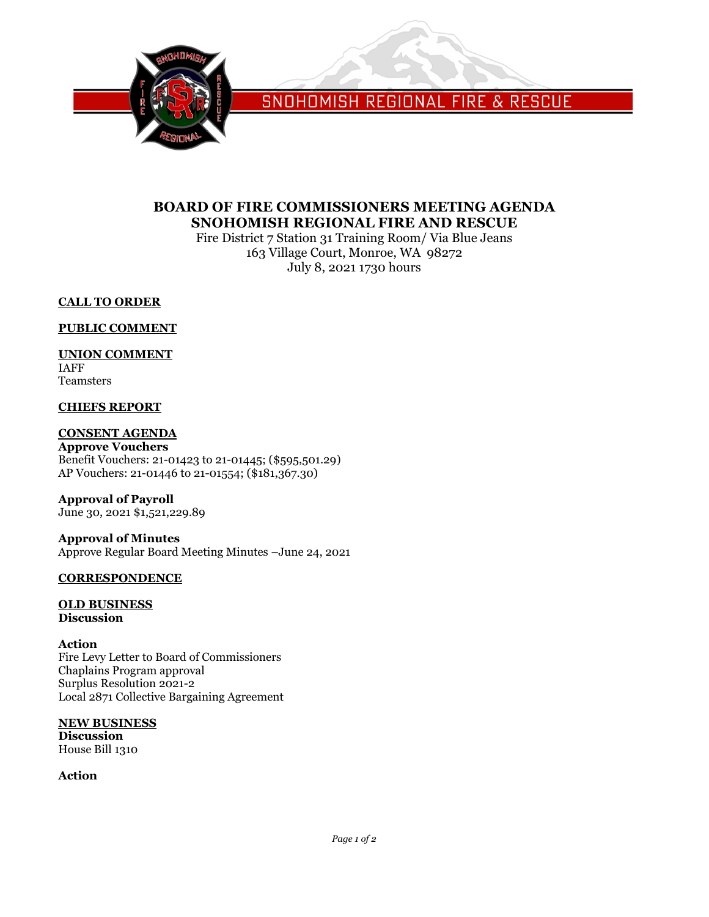

SNOHOMISH REGIONAL FIRE & RESCUE

# **BOARD OF FIRE COMMISSIONERS MEETING AGENDA SNOHOMISH REGIONAL FIRE AND RESCUE**

Fire District 7 Station 31 Training Room/ Via Blue Jeans 163 Village Court, Monroe, WA 98272 July 8, 2021 1730 hours

# **CALL TO ORDER**

## **PUBLIC COMMENT**

## **UNION COMMENT**

IAFF Teamsters

# **CHIEFS REPORT**

# **CONSENT AGENDA**

**Approve Vouchers** Benefit Vouchers: 21-01423 to 21-01445; (\$595,501.29) AP Vouchers: 21-01446 to 21-01554; (\$181,367.30)

**Approval of Payroll** June 30, 2021 \$1,521,229.89

**Approval of Minutes** Approve Regular Board Meeting Minutes –June 24, 2021

## **CORRESPONDENCE**

### **OLD BUSINESS Discussion**

### **Action**

Fire Levy Letter to Board of Commissioners Chaplains Program approval Surplus Resolution 2021-2 Local 2871 Collective Bargaining Agreement

**NEW BUSINESS Discussion** House Bill 1310

**Action**